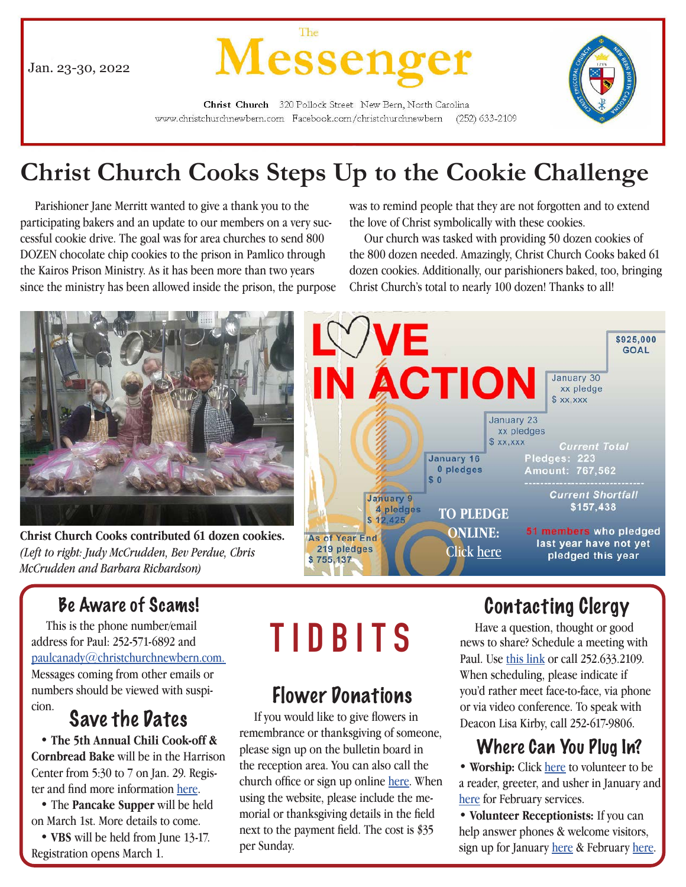Jan. 23-30, 2022



Christ Church 320 Pollock Street New Bern, North Carolina www.christchurchnewbern.com Facebook.com/christchurchnewbern  $(252)$  633-2109

# **Christ Church Cooks Steps Up to the Cookie Challenge**

 Parishioner Jane Merritt wanted to give a thank you to the participating bakers and an update to our members on a very successful cookie drive. The goal was for area churches to send 800 DOZEN chocolate chip cookies to the prison in Pamlico through the Kairos Prison Ministry. As it has been more than two years since the ministry has been allowed inside the prison, the purpose was to remind people that they are not forgotten and to extend the love of Christ symbolically with these cookies.

 Our church was tasked with providing 50 dozen cookies of the 800 dozen needed. Amazingly, Christ Church Cooks baked 61 dozen cookies. Additionally, our parishioners baked, too, bringing Christ Church's total to nearly 100 dozen! Thanks to all!



**Christ Church Cooks contributed 61 dozen cookies.**  *(Left to right: Judy McCrudden, Bev Perdue, Chris McCrudden and Barbara Richardson)*



# Be Aware of Scams!

 This is the phone number/email address for Paul: 252-571-6892 and paulcanady@christchurchnewbern.com. Messages coming from other emails or numbers should be viewed with suspinumbers should be viewed with suspi-<br> **Flower Donations**<br> **Save the Dates** If you would like to give flowers in

# Save the Dates

 • **The 5th Annual Chili Cook-off & Cornbread Bake** will be in the Harrison Center from 5:30 to 7 on Jan. 29. Register and find more information here.

 • The **Pancake Supper** will be held on March 1st. More details to come.

 • **VBS** will be held from June 13-17. Registration opens March 1.

# **TIDBITS**

remembrance or thanksgiving of someone, please sign up on the bulletin board in the reception area. You can also call the church office or sign up online here. When using the website, please include the memorial or thanksgiving details in the field next to the payment field. The cost is \$35 per Sunday.

# Contacting Clergy

 Have a question, thought or good news to share? Schedule a meeting with Paul. Use this link or call 252.633.2109. When scheduling, please indicate if you'd rather meet face-to-face, via phone or via video conference. To speak with Deacon Lisa Kirby, call 252-617-9806.

# Where Can You Plug In?

• **Worship:** Click here to volunteer to be a reader, greeter, and usher in January and here for February services.

• **Volunteer Receptionists:** If you can help answer phones & welcome visitors, sign up for January here & February here.

1